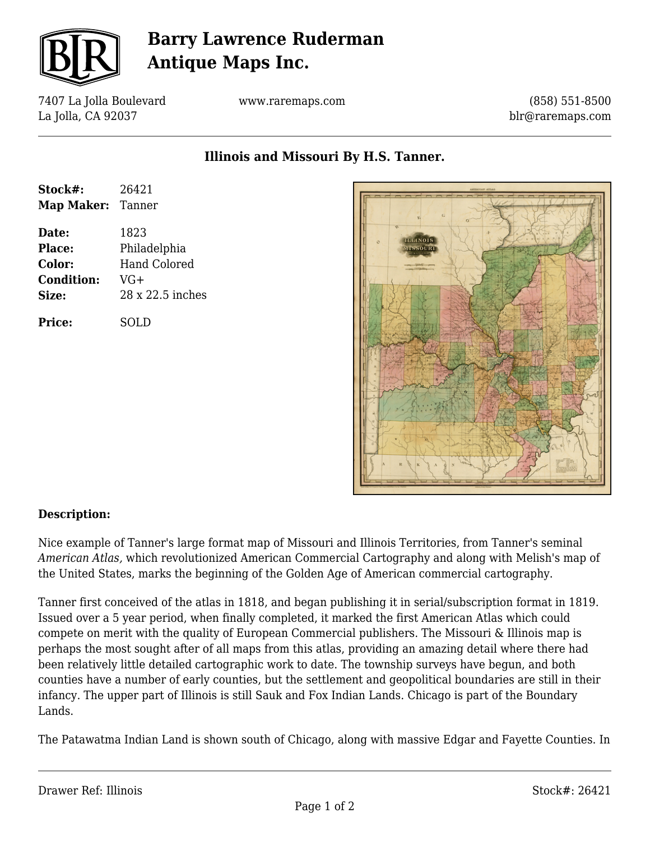

# **Barry Lawrence Ruderman Antique Maps Inc.**

7407 La Jolla Boulevard La Jolla, CA 92037

www.raremaps.com

(858) 551-8500 blr@raremaps.com

**Illinois and Missouri By H.S. Tanner.**

| Stock#:                  | 26421               |
|--------------------------|---------------------|
| <b>Map Maker: Tanner</b> |                     |
| Date:                    | 1823                |
| Place:                   | Philadelphia        |
| Color:                   | <b>Hand Colored</b> |
| <b>Condition:</b>        | $VG+$               |
| Size:                    | 28 x 22.5 inches    |
| <b>Price:</b>            | SOLD                |



## **Description:**

Nice example of Tanner's large format map of Missouri and Illinois Territories, from Tanner's seminal *American Atlas,* which revolutionized American Commercial Cartography and along with Melish's map of the United States, marks the beginning of the Golden Age of American commercial cartography.

Tanner first conceived of the atlas in 1818, and began publishing it in serial/subscription format in 1819. Issued over a 5 year period, when finally completed, it marked the first American Atlas which could compete on merit with the quality of European Commercial publishers. The Missouri & Illinois map is perhaps the most sought after of all maps from this atlas, providing an amazing detail where there had been relatively little detailed cartographic work to date. The township surveys have begun, and both counties have a number of early counties, but the settlement and geopolitical boundaries are still in their infancy. The upper part of Illinois is still Sauk and Fox Indian Lands. Chicago is part of the Boundary Lands.

The Patawatma Indian Land is shown south of Chicago, along with massive Edgar and Fayette Counties. In